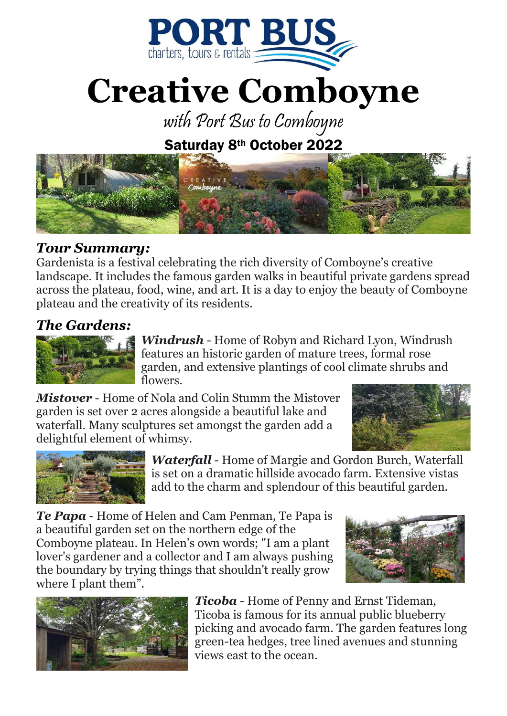

# **Creative Comboyne**

with Port Bus to Comboyne

Saturday 8<sup>th</sup> October 2022



#### *Tour Summary:*

Gardenista is a festival celebrating the rich diversity of Comboyne's creative landscape. It includes the famous garden walks in beautiful private gardens spread across the plateau, food, wine, and art. It is a day to enjoy the beauty of Comboyne plateau and the creativity of its residents.

#### *The Gardens:*



*Windrush* - Home of Robyn and Richard Lyon, Windrush features an historic garden of mature trees, formal rose garden, and extensive plantings of cool climate shrubs and flowers.

*Mistover* - Home of Nola and Colin Stumm the Mistover garden is set over 2 acres alongside a beautiful lake and waterfall. Many sculptures set amongst the garden add a delightful element of whimsy.





*Waterfall* - Home of Margie and Gordon Burch, Waterfall is set on a dramatic hillside avocado farm. Extensive vistas add to the charm and splendour of this beautiful garden.

*Te Papa* - Home of Helen and Cam Penman, Te Papa is a beautiful garden set on the northern edge of the Comboyne plateau. In Helen's own words; "I am a plant lover's gardener and a collector and I am always pushing the boundary by trying things that shouldn't really grow where I plant them".





*Ticoba* - Home of Penny and Ernst Tideman, Ticoba is famous for its annual public blueberry picking and avocado farm. The garden features long green-tea hedges, tree lined avenues and stunning views east to the ocean.